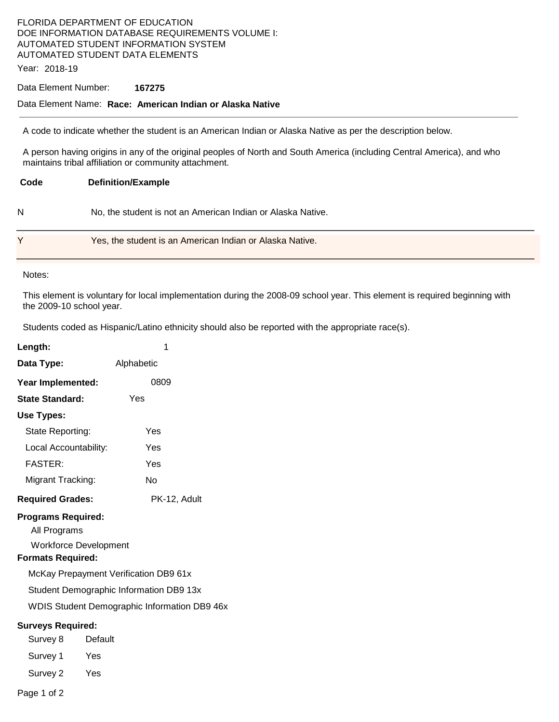# FLORIDA DEPARTMENT OF EDUCATION DOE INFORMATION DATABASE REQUIREMENTS VOLUME I: AUTOMATED STUDENT INFORMATION SYSTEM AUTOMATED STUDENT DATA ELEMENTS

Year: 2018-19

#### Data Element Number: **167275**

### Data Element Name: **Race: American Indian or Alaska Native**

A code to indicate whether the student is an American Indian or Alaska Native as per the description below.

A person having origins in any of the original peoples of North and South America (including Central America), and who maintains tribal affiliation or community attachment.

## **Code Definition/Example**

| No, the student is not an American Indian or Alaska Native. |
|-------------------------------------------------------------|
|                                                             |

| v | Yes, the student is an American Indian or Alaska Native. |
|---|----------------------------------------------------------|

Notes:

This element is voluntary for local implementation during the 2008-09 school year. This element is required beginning with the 2009-10 school year.

Students coded as Hispanic/Latino ethnicity should also be reported with the appropriate race(s).

| Length:                                                                                               |         | 1                                            |  |
|-------------------------------------------------------------------------------------------------------|---------|----------------------------------------------|--|
| Data Type:                                                                                            |         | Alphabetic                                   |  |
| Year Implemented:                                                                                     |         | 0809                                         |  |
| <b>State Standard:</b>                                                                                |         | Yes                                          |  |
| Use Types:                                                                                            |         |                                              |  |
| State Reporting:                                                                                      |         | Yes                                          |  |
| Local Accountability:                                                                                 |         | Yes                                          |  |
| <b>FASTER:</b>                                                                                        |         | Yes                                          |  |
| Migrant Tracking:                                                                                     |         | No                                           |  |
| <b>Required Grades:</b>                                                                               |         | PK-12, Adult                                 |  |
| <b>Programs Required:</b><br>All Programs<br><b>Workforce Development</b><br><b>Formats Required:</b> |         |                                              |  |
|                                                                                                       |         | McKay Prepayment Verification DB9 61x        |  |
|                                                                                                       |         | Student Demographic Information DB9 13x      |  |
|                                                                                                       |         | WDIS Student Demographic Information DB9 46x |  |
| <b>Surveys Required:</b>                                                                              |         |                                              |  |
| Survey 8                                                                                              | Default |                                              |  |
| Survey 1                                                                                              | Yes     |                                              |  |
| Survey 2                                                                                              | Yes     |                                              |  |
|                                                                                                       |         |                                              |  |

Page 1 of 2